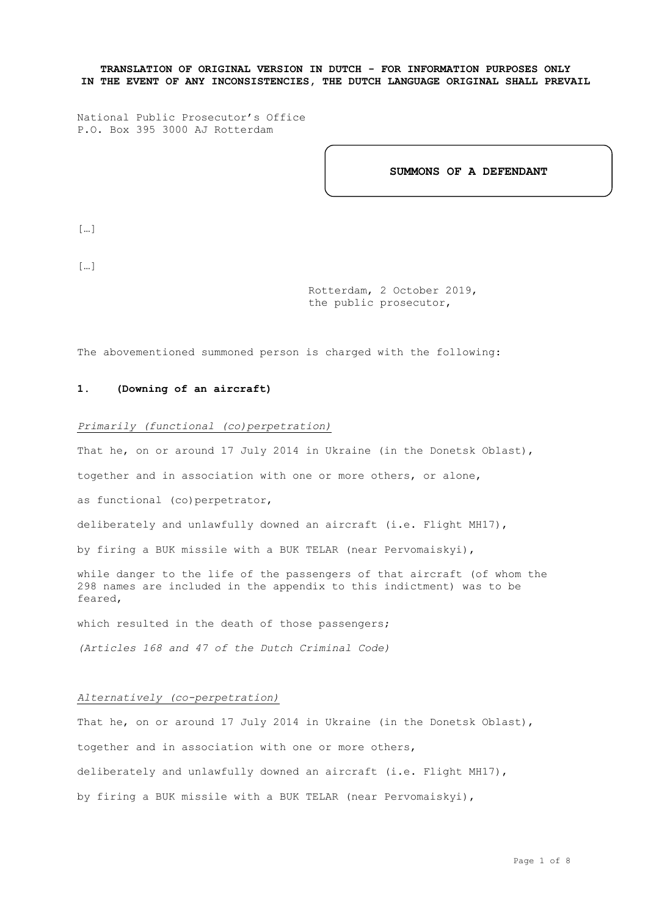**TRANSLATION OF ORIGINAL VERSION IN DUTCH - FOR INFORMATION PURPOSES ONLY IN THE EVENT OF ANY INCONSISTENCIES, THE DUTCH LANGUAGE ORIGINAL SHALL PREVAIL**

National Public Prosecutor's Office P.O. Box 395 3000 AJ Rotterdam

**SUMMONS OF A DEFENDANT**

[…]

[…]

Rotterdam, 2 October 2019, the public prosecutor,

The abovementioned summoned person is charged with the following:

# **1. (Downing of an aircraft)**

## *Primarily (functional (co)perpetration)*

That he, on or around 17 July 2014 in Ukraine (in the Donetsk Oblast),

together and in association with one or more others, or alone,

as functional (co)perpetrator,

deliberately and unlawfully downed an aircraft (i.e. Flight MH17),

by firing a BUK missile with a BUK TELAR (near Pervomaiskyi),

while danger to the life of the passengers of that aircraft (of whom the 298 names are included in the appendix to this indictment) was to be feared,

which resulted in the death of those passengers;

*(Articles 168 and 47 of the Dutch Criminal Code)*

### *Alternatively (co-perpetration)*

That he, on or around 17 July 2014 in Ukraine (in the Donetsk Oblast), together and in association with one or more others, deliberately and unlawfully downed an aircraft (i.e. Flight MH17), by firing a BUK missile with a BUK TELAR (near Pervomaiskyi),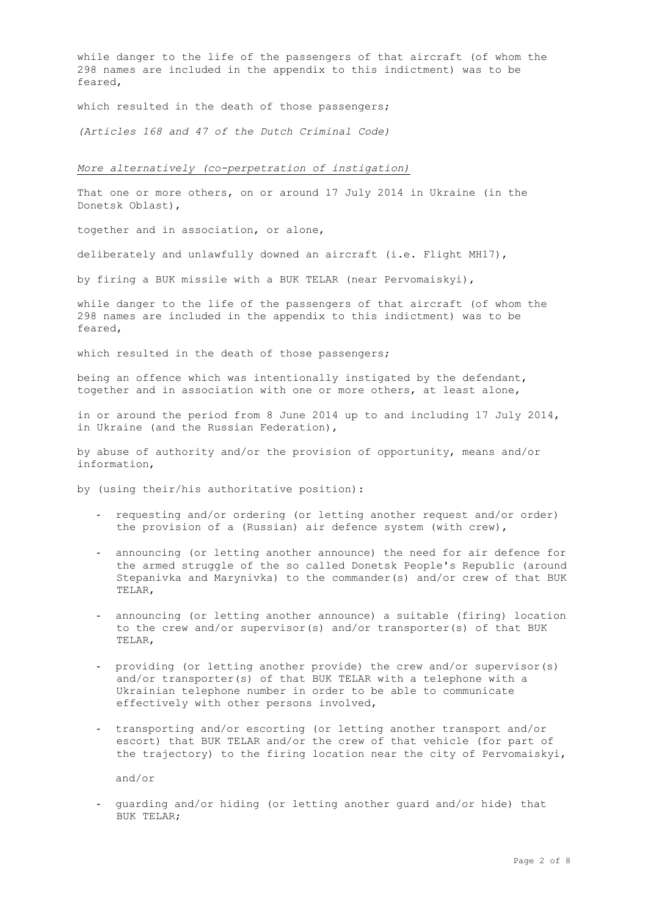while danger to the life of the passengers of that aircraft (of whom the 298 names are included in the appendix to this indictment) was to be feared,

which resulted in the death of those passengers;

*(Articles 168 and 47 of the Dutch Criminal Code)*

#### *More alternatively (co-perpetration of instigation)*

That one or more others, on or around 17 July 2014 in Ukraine (in the Donetsk Oblast),

together and in association, or alone,

deliberately and unlawfully downed an aircraft (i.e. Flight MH17),

by firing a BUK missile with a BUK TELAR (near Pervomaiskyi),

while danger to the life of the passengers of that aircraft (of whom the 298 names are included in the appendix to this indictment) was to be feared,

which resulted in the death of those passengers;

being an offence which was intentionally instigated by the defendant, together and in association with one or more others, at least alone,

in or around the period from 8 June 2014 up to and including 17 July 2014, in Ukraine (and the Russian Federation),

by abuse of authority and/or the provision of opportunity, means and/or information,

by (using their/his authoritative position):

- requesting and/or ordering (or letting another request and/or order) the provision of a (Russian) air defence system (with crew),
- announcing (or letting another announce) the need for air defence for the armed struggle of the so called Donetsk People's Republic (around Stepanivka and Marynivka) to the commander(s) and/or crew of that BUK TELAR,
- announcing (or letting another announce) a suitable (firing) location to the crew and/or supervisor(s) and/or transporter(s) of that BUK TELAR,
- providing (or letting another provide) the crew and/or supervisor(s) and/or transporter(s) of that BUK TELAR with a telephone with a Ukrainian telephone number in order to be able to communicate effectively with other persons involved,
- transporting and/or escorting (or letting another transport and/or escort) that BUK TELAR and/or the crew of that vehicle (for part of the trajectory) to the firing location near the city of Pervomaiskyi,

and/or

- guarding and/or hiding (or letting another guard and/or hide) that BUK TELAR;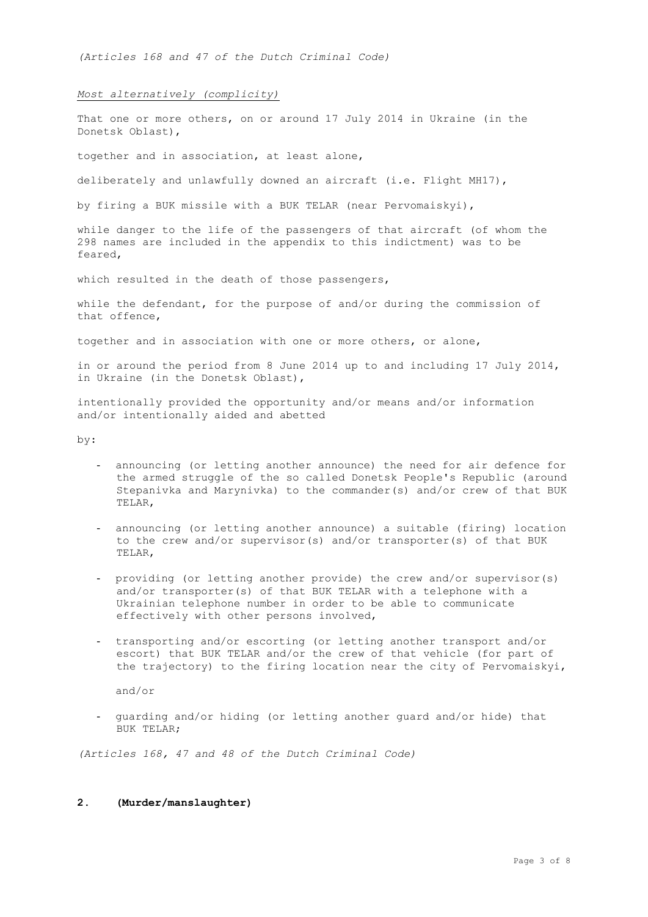*(Articles 168 and 47 of the Dutch Criminal Code)*

### *Most alternatively (complicity)*

That one or more others, on or around 17 July 2014 in Ukraine (in the Donetsk Oblast),

together and in association, at least alone,

deliberately and unlawfully downed an aircraft (i.e. Flight MH17),

by firing a BUK missile with a BUK TELAR (near Pervomaiskyi),

while danger to the life of the passengers of that aircraft (of whom the 298 names are included in the appendix to this indictment) was to be feared,

which resulted in the death of those passengers,

while the defendant, for the purpose of and/or during the commission of that offence,

together and in association with one or more others, or alone,

in or around the period from 8 June 2014 up to and including 17 July 2014, in Ukraine (in the Donetsk Oblast),

intentionally provided the opportunity and/or means and/or information and/or intentionally aided and abetted

by:

- announcing (or letting another announce) the need for air defence for the armed struggle of the so called Donetsk People's Republic (around Stepanivka and Marynivka) to the commander(s) and/or crew of that BUK TELAR,
- announcing (or letting another announce) a suitable (firing) location to the crew and/or supervisor(s) and/or transporter(s) of that BUK TELAR,
- providing (or letting another provide) the crew and/or supervisor(s) and/or transporter(s) of that BUK TELAR with a telephone with a Ukrainian telephone number in order to be able to communicate effectively with other persons involved,
- transporting and/or escorting (or letting another transport and/or escort) that BUK TELAR and/or the crew of that vehicle (for part of the trajectory) to the firing location near the city of Pervomaiskyi,

and/or

- guarding and/or hiding (or letting another guard and/or hide) that BUK TELAR;

*(Articles 168, 47 and 48 of the Dutch Criminal Code)*

## **2. (Murder/manslaughter)**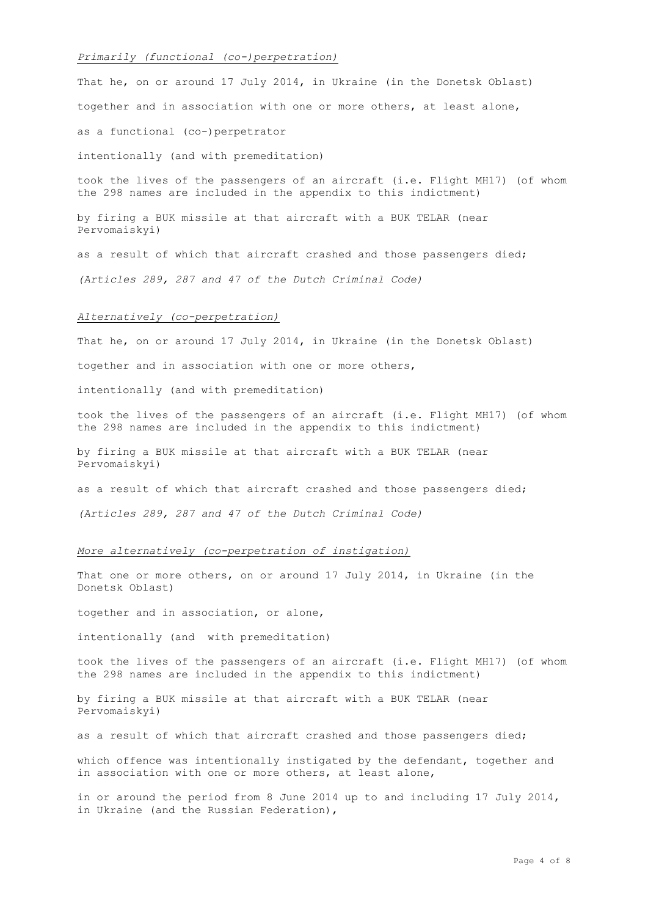#### *Primarily (functional (co-)perpetration)*

That he, on or around 17 July 2014, in Ukraine (in the Donetsk Oblast) together and in association with one or more others, at least alone, as a functional (co-)perpetrator intentionally (and with premeditation)

took the lives of the passengers of an aircraft (i.e. Flight MH17) (of whom the 298 names are included in the appendix to this indictment)

by firing a BUK missile at that aircraft with a BUK TELAR (near Pervomaiskyi)

as a result of which that aircraft crashed and those passengers died; *(Articles 289, 287 and 47 of the Dutch Criminal Code)*

#### *Alternatively (co-perpetration)*

That he, on or around 17 July 2014, in Ukraine (in the Donetsk Oblast)

together and in association with one or more others,

intentionally (and with premeditation)

took the lives of the passengers of an aircraft (i.e. Flight MH17) (of whom the 298 names are included in the appendix to this indictment)

by firing a BUK missile at that aircraft with a BUK TELAR (near Pervomaiskyi)

as a result of which that aircraft crashed and those passengers died;

*(Articles 289, 287 and 47 of the Dutch Criminal Code)*

#### *More alternatively (co-perpetration of instigation)*

That one or more others, on or around 17 July 2014, in Ukraine (in the Donetsk Oblast)

together and in association, or alone,

intentionally (and with premeditation)

took the lives of the passengers of an aircraft (i.e. Flight MH17) (of whom the 298 names are included in the appendix to this indictment)

by firing a BUK missile at that aircraft with a BUK TELAR (near Pervomaiskyi)

as a result of which that aircraft crashed and those passengers died;

which offence was intentionally instigated by the defendant, together and in association with one or more others, at least alone,

in or around the period from 8 June 2014 up to and including 17 July 2014, in Ukraine (and the Russian Federation),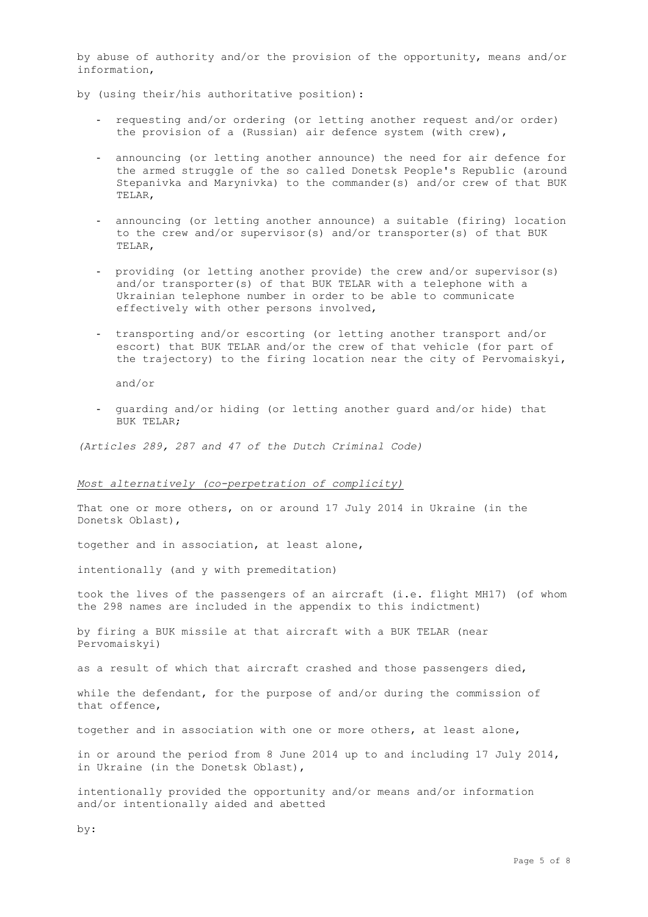by abuse of authority and/or the provision of the opportunity, means and/or information,

- by (using their/his authoritative position):
	- requesting and/or ordering (or letting another request and/or order) the provision of a (Russian) air defence system (with crew),
	- announcing (or letting another announce) the need for air defence for the armed struggle of the so called Donetsk People's Republic (around Stepanivka and Marynivka) to the commander(s) and/or crew of that BUK TELAR,
	- announcing (or letting another announce) a suitable (firing) location to the crew and/or supervisor(s) and/or transporter(s) of that BUK TELAR,
	- providing (or letting another provide) the crew and/or supervisor(s) and/or transporter(s) of that BUK TELAR with a telephone with a Ukrainian telephone number in order to be able to communicate effectively with other persons involved,
	- transporting and/or escorting (or letting another transport and/or escort) that BUK TELAR and/or the crew of that vehicle (for part of the trajectory) to the firing location near the city of Pervomaiskyi,

and/or

- guarding and/or hiding (or letting another guard and/or hide) that BUK TELAR;

*(Articles 289, 287 and 47 of the Dutch Criminal Code)*

### *Most alternatively (co-perpetration of complicity)*

That one or more others, on or around 17 July 2014 in Ukraine (in the Donetsk Oblast),

together and in association, at least alone,

intentionally (and y with premeditation)

took the lives of the passengers of an aircraft (i.e. flight MH17) (of whom the 298 names are included in the appendix to this indictment)

by firing a BUK missile at that aircraft with a BUK TELAR (near Pervomaiskyi)

as a result of which that aircraft crashed and those passengers died,

while the defendant, for the purpose of and/or during the commission of that offence,

together and in association with one or more others, at least alone,

in or around the period from 8 June 2014 up to and including 17 July 2014, in Ukraine (in the Donetsk Oblast),

intentionally provided the opportunity and/or means and/or information and/or intentionally aided and abetted

by: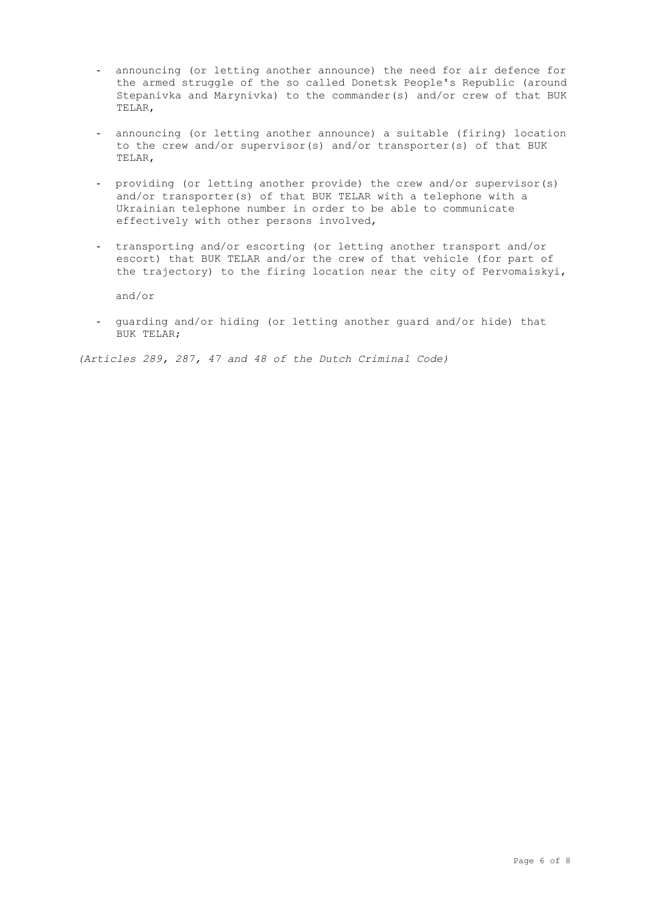- announcing (or letting another announce) the need for air defence for the armed struggle of the so called Donetsk People's Republic (around Stepanivka and Marynivka) to the commander(s) and/or crew of that BUK TELAR,
- announcing (or letting another announce) a suitable (firing) location to the crew and/or supervisor(s) and/or transporter(s) of that BUK TELAR,
- providing (or letting another provide) the crew and/or supervisor(s) and/or transporter(s) of that BUK TELAR with a telephone with a Ukrainian telephone number in order to be able to communicate effectively with other persons involved,
- transporting and/or escorting (or letting another transport and/or escort) that BUK TELAR and/or the crew of that vehicle (for part of the trajectory) to the firing location near the city of Pervomaiskyi,

and/or

- guarding and/or hiding (or letting another guard and/or hide) that BUK TELAR;

*(Articles 289, 287, 47 and 48 of the Dutch Criminal Code)*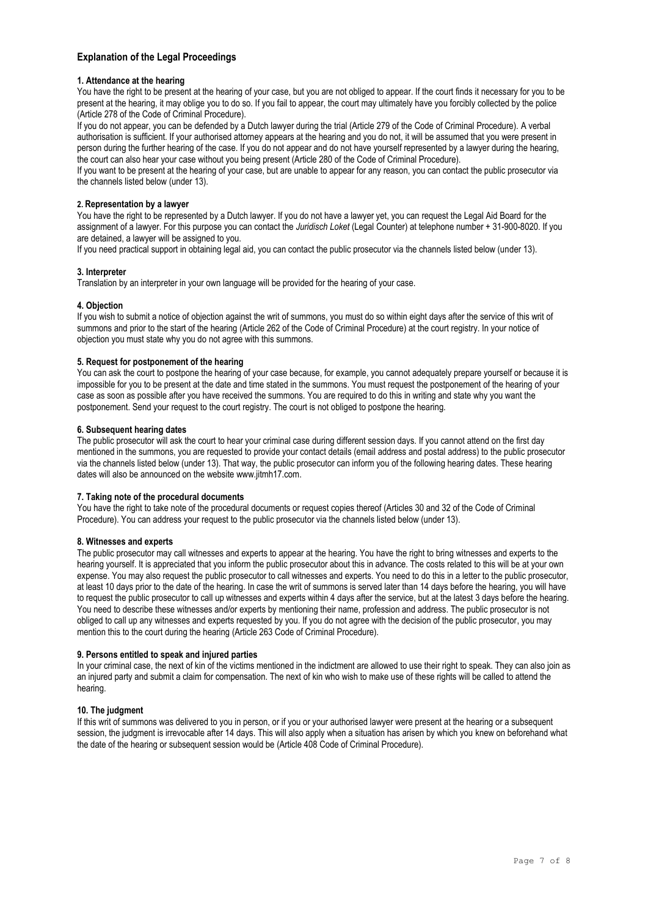## **Explanation of the Legal Proceedings**

### **1. Attendance at the hearing**

You have the right to be present at the hearing of your case, but you are not obliged to appear. If the court finds it necessary for you to be present at the hearing, it may oblige you to do so. If you fail to appear, the court may ultimately have you forcibly collected by the police (Article 278 of the Code of Criminal Procedure).

If you do not appear, you can be defended by a Dutch lawyer during the trial (Article 279 of the Code of Criminal Procedure). A verbal authorisation is sufficient. If your authorised attorney appears at the hearing and you do not, it will be assumed that you were present in person during the further hearing of the case. If you do not appear and do not have yourself represented by a lawyer during the hearing, the court can also hear your case without you being present (Article 280 of the Code of Criminal Procedure).

If you want to be present at the hearing of your case, but are unable to appear for any reason, you can contact the public prosecutor via the channels listed below (under 13).

### **2. Representation by a lawyer**

You have the right to be represented by a Dutch lawyer. If you do not have a lawyer yet, you can request the Legal Aid Board for the assignment of a lawyer. For this purpose you can contact the *Juridisch Loket* (Legal Counter) at telephone number + 31-900-8020. If you are detained, a lawyer will be assigned to you.

If you need practical support in obtaining legal aid, you can contact the public prosecutor via the channels listed below (under 13).

### **3. Interpreter**

Translation by an interpreter in your own language will be provided for the hearing of your case.

### **4. Objection**

If you wish to submit a notice of objection against the writ of summons, you must do so within eight days after the service of this writ of summons and prior to the start of the hearing (Article 262 of the Code of Criminal Procedure) at the court registry. In your notice of objection you must state why you do not agree with this summons.

## **5. Request for postponement of the hearing**

You can ask the court to postpone the hearing of your case because, for example, you cannot adequately prepare yourself or because it is impossible for you to be present at the date and time stated in the summons. You must request the postponement of the hearing of your case as soon as possible after you have received the summons. You are required to do this in writing and state why you want the postponement. Send your request to the court registry. The court is not obliged to postpone the hearing.

### **6. Subsequent hearing dates**

The public prosecutor will ask the court to hear your criminal case during different session days. If you cannot attend on the first day mentioned in the summons, you are requested to provide your contact details (email address and postal address) to the public prosecutor via the channels listed below (under 13). That way, the public prosecutor can inform you of the following hearing dates. These hearing dates will also be announced on the websit[e www.jitmh17.com.](http://www.jitmh17.com/)

#### **7. Taking note of the procedural documents**

You have the right to take note of the procedural documents or request copies thereof (Articles 30 and 32 of the Code of Criminal Procedure). You can address your request to the public prosecutor via the channels listed below (under 13).

### **8. Witnesses and experts**

The public prosecutor may call witnesses and experts to appear at the hearing. You have the right to bring witnesses and experts to the hearing yourself. It is appreciated that you inform the public prosecutor about this in advance. The costs related to this will be at your own expense. You may also request the public prosecutor to call witnesses and experts. You need to do this in a letter to the public prosecutor, at least 10 days prior to the date of the hearing. In case the writ of summons is served later than 14 days before the hearing, you will have to request the public prosecutor to call up witnesses and experts within 4 days after the service, but at the latest 3 days before the hearing. You need to describe these witnesses and/or experts by mentioning their name, profession and address. The public prosecutor is not obliged to call up any witnesses and experts requested by you. If you do not agree with the decision of the public prosecutor, you may mention this to the court during the hearing (Article 263 Code of Criminal Procedure).

#### **9. Persons entitled to speak and injured parties**

In your criminal case, the next of kin of the victims mentioned in the indictment are allowed to use their right to speak. They can also join as an injured party and submit a claim for compensation. The next of kin who wish to make use of these rights will be called to attend the hearing.

### **10. The judgment**

If this writ of summons was delivered to you in person, or if you or your authorised lawyer were present at the hearing or a subsequent session, the judgment is irrevocable after 14 days. This will also apply when a situation has arisen by which you knew on beforehand what the date of the hearing or subsequent session would be (Article 408 Code of Criminal Procedure).